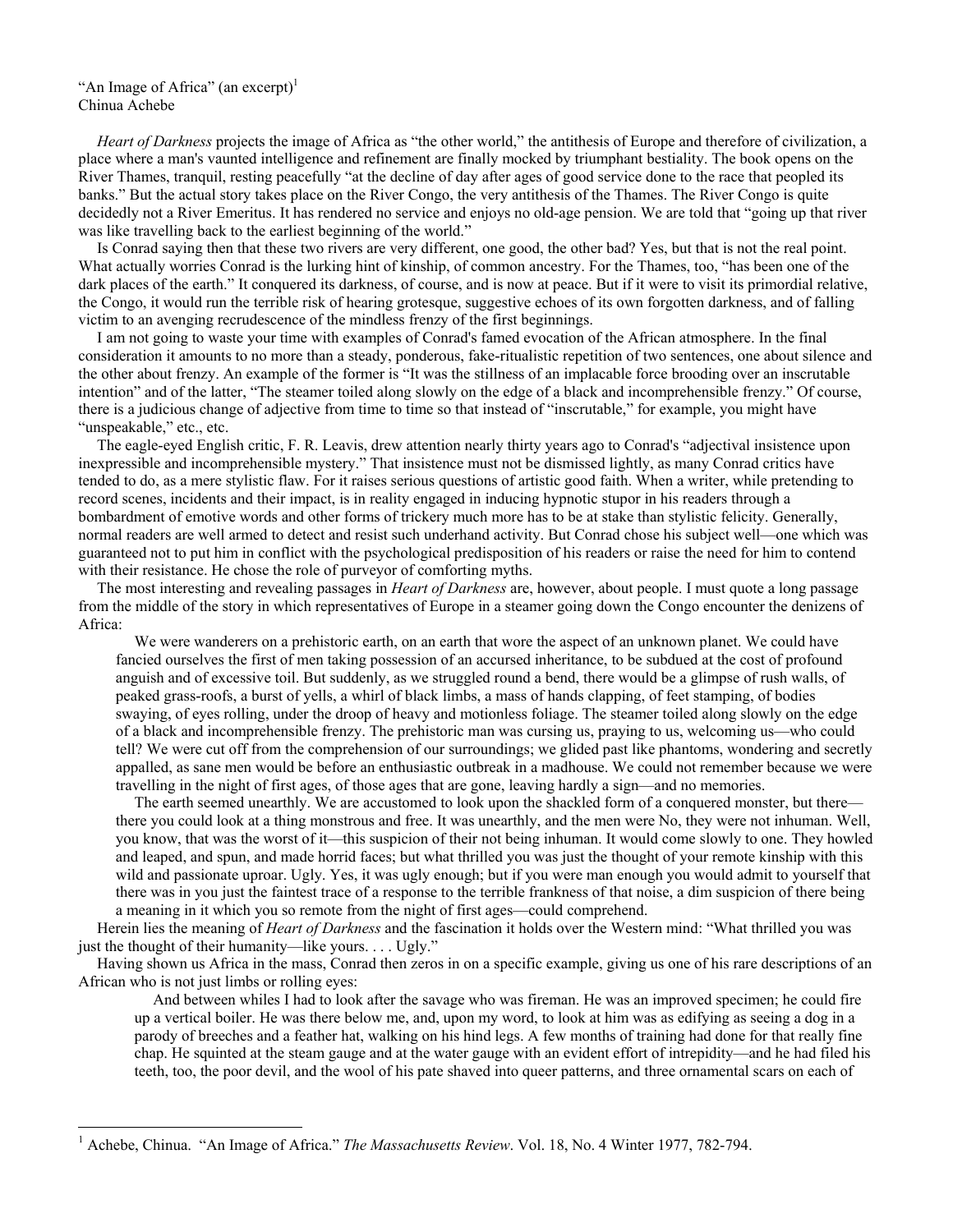## "An Image of Africa" (an excerpt) $<sup>1</sup>$ </sup> Chinua Achebe

 $\overline{a}$ 

*Heart of Darkness* projects the image of Africa as "the other world," the antithesis of Europe and therefore of civilization, a place where a man's vaunted intelligence and refinement are finally mocked by triumphant bestiality. The book opens on the River Thames, tranquil, resting peacefully "at the decline of day after ages of good service done to the race that peopled its banks." But the actual story takes place on the River Congo, the very antithesis of the Thames. The River Congo is quite decidedly not a River Emeritus. It has rendered no service and enjoys no old-age pension. We are told that "going up that river was like travelling back to the earliest beginning of the world."

Is Conrad saying then that these two rivers are very different, one good, the other bad? Yes, but that is not the real point. What actually worries Conrad is the lurking hint of kinship, of common ancestry. For the Thames, too, "has been one of the dark places of the earth." It conquered its darkness, of course, and is now at peace. But if it were to visit its primordial relative, the Congo, it would run the terrible risk of hearing grotesque, suggestive echoes of its own forgotten darkness, and of falling victim to an avenging recrudescence of the mindless frenzy of the first beginnings.

I am not going to waste your time with examples of Conrad's famed evocation of the African atmosphere. In the final consideration it amounts to no more than a steady, ponderous, fake-ritualistic repetition of two sentences, one about silence and the other about frenzy. An example of the former is "It was the stillness of an implacable force brooding over an inscrutable intention" and of the latter, "The steamer toiled along slowly on the edge of a black and incomprehensible frenzy." Of course, there is a judicious change of adjective from time to time so that instead of "inscrutable," for example, you might have "unspeakable," etc., etc.

The eagle-eyed English critic, F. R. Leavis, drew attention nearly thirty years ago to Conrad's "adjectival insistence upon inexpressible and incomprehensible mystery." That insistence must not be dismissed lightly, as many Conrad critics have tended to do, as a mere stylistic flaw. For it raises serious questions of artistic good faith. When a writer, while pretending to record scenes, incidents and their impact, is in reality engaged in inducing hypnotic stupor in his readers through a bombardment of emotive words and other forms of trickery much more has to be at stake than stylistic felicity. Generally, normal readers are well armed to detect and resist such underhand activity. But Conrad chose his subject well—one which was guaranteed not to put him in conflict with the psychological predisposition of his readers or raise the need for him to contend with their resistance. He chose the role of purveyor of comforting myths.

The most interesting and revealing passages in *Heart of Darkness* are, however, about people. I must quote a long passage from the middle of the story in which representatives of Europe in a steamer going down the Congo encounter the denizens of Africa:

We were wanderers on a prehistoric earth, on an earth that wore the aspect of an unknown planet. We could have fancied ourselves the first of men taking possession of an accursed inheritance, to be subdued at the cost of profound anguish and of excessive toil. But suddenly, as we struggled round a bend, there would be a glimpse of rush walls, of peaked grass-roofs, a burst of yells, a whirl of black limbs, a mass of hands clapping, of feet stamping, of bodies swaying, of eyes rolling, under the droop of heavy and motionless foliage. The steamer toiled along slowly on the edge of a black and incomprehensible frenzy. The prehistoric man was cursing us, praying to us, welcoming us—who could tell? We were cut off from the comprehension of our surroundings; we glided past like phantoms, wondering and secretly appalled, as sane men would be before an enthusiastic outbreak in a madhouse. We could not remember because we were travelling in the night of first ages, of those ages that are gone, leaving hardly a sign—and no memories.

The earth seemed unearthly. We are accustomed to look upon the shackled form of a conquered monster, but there there you could look at a thing monstrous and free. It was unearthly, and the men were No, they were not inhuman. Well, you know, that was the worst of it—this suspicion of their not being inhuman. It would come slowly to one. They howled and leaped, and spun, and made horrid faces; but what thrilled you was just the thought of your remote kinship with this wild and passionate uproar. Ugly. Yes, it was ugly enough; but if you were man enough you would admit to yourself that there was in you just the faintest trace of a response to the terrible frankness of that noise, a dim suspicion of there being a meaning in it which you so remote from the night of first ages—could comprehend.

Herein lies the meaning of *Heart of Darkness* and the fascination it holds over the Western mind: "What thrilled you was just the thought of their humanity—like yours. . . . Ugly."

Having shown us Africa in the mass, Conrad then zeros in on a specific example, giving us one of his rare descriptions of an African who is not just limbs or rolling eyes:

And between whiles I had to look after the savage who was fireman. He was an improved specimen; he could fire up a vertical boiler. He was there below me, and, upon my word, to look at him was as edifying as seeing a dog in a parody of breeches and a feather hat, walking on his hind legs. A few months of training had done for that really fine chap. He squinted at the steam gauge and at the water gauge with an evident effort of intrepidity—and he had filed his teeth, too, the poor devil, and the wool of his pate shaved into queer patterns, and three ornamental scars on each of

<sup>1</sup> Achebe, Chinua. "An Image of Africa." *The Massachusetts Review*. Vol. 18, No. 4 Winter 1977, 782-794.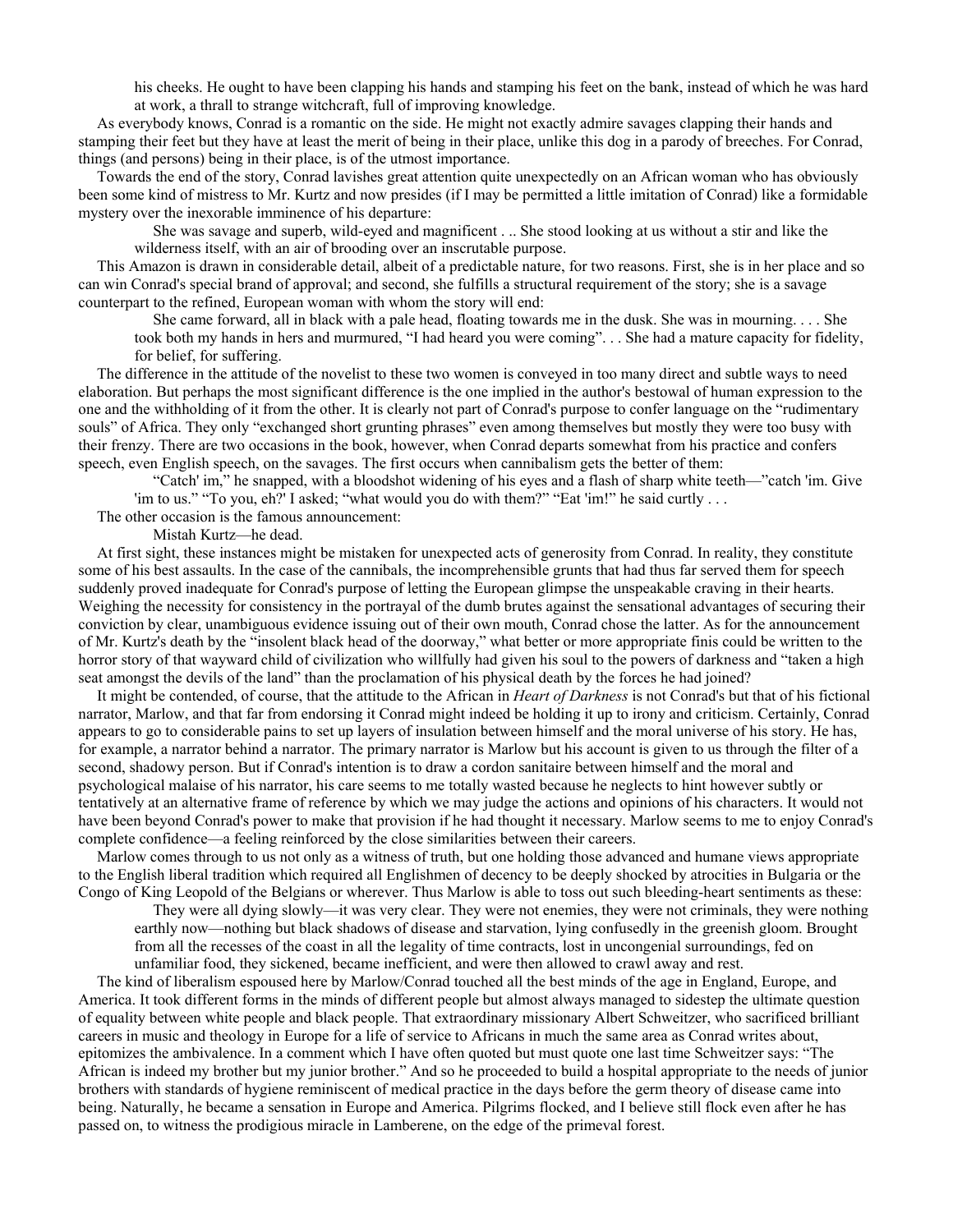his cheeks. He ought to have been clapping his hands and stamping his feet on the bank, instead of which he was hard at work, a thrall to strange witchcraft, full of improving knowledge.

As everybody knows, Conrad is a romantic on the side. He might not exactly admire savages clapping their hands and stamping their feet but they have at least the merit of being in their place, unlike this dog in a parody of breeches. For Conrad, things (and persons) being in their place, is of the utmost importance.

Towards the end of the story, Conrad lavishes great attention quite unexpectedly on an African woman who has obviously been some kind of mistress to Mr. Kurtz and now presides (if I may be permitted a little imitation of Conrad) like a formidable mystery over the inexorable imminence of his departure:

She was savage and superb, wild-eyed and magnificent . .. She stood looking at us without a stir and like the wilderness itself, with an air of brooding over an inscrutable purpose.

This Amazon is drawn in considerable detail, albeit of a predictable nature, for two reasons. First, she is in her place and so can win Conrad's special brand of approval; and second, she fulfills a structural requirement of the story; she is a savage counterpart to the refined, European woman with whom the story will end:

She came forward, all in black with a pale head, floating towards me in the dusk. She was in mourning. . . . She took both my hands in hers and murmured, "I had heard you were coming". . . She had a mature capacity for fidelity, for belief, for suffering.

The difference in the attitude of the novelist to these two women is conveyed in too many direct and subtle ways to need elaboration. But perhaps the most significant difference is the one implied in the author's bestowal of human expression to the one and the withholding of it from the other. It is clearly not part of Conrad's purpose to confer language on the "rudimentary souls" of Africa. They only "exchanged short grunting phrases" even among themselves but mostly they were too busy with their frenzy. There are two occasions in the book, however, when Conrad departs somewhat from his practice and confers speech, even English speech, on the savages. The first occurs when cannibalism gets the better of them:

"Catch' im," he snapped, with a bloodshot widening of his eyes and a flash of sharp white teeth—"catch 'im. Give 'im to us." "To you, eh?' I asked; "what would you do with them?" "Eat 'im!" he said curtly . . .

The other occasion is the famous announcement:

Mistah Kurtz—he dead.

At first sight, these instances might be mistaken for unexpected acts of generosity from Conrad. In reality, they constitute some of his best assaults. In the case of the cannibals, the incomprehensible grunts that had thus far served them for speech suddenly proved inadequate for Conrad's purpose of letting the European glimpse the unspeakable craving in their hearts. Weighing the necessity for consistency in the portrayal of the dumb brutes against the sensational advantages of securing their conviction by clear, unambiguous evidence issuing out of their own mouth, Conrad chose the latter. As for the announcement of Mr. Kurtz's death by the "insolent black head of the doorway," what better or more appropriate finis could be written to the horror story of that wayward child of civilization who willfully had given his soul to the powers of darkness and "taken a high seat amongst the devils of the land" than the proclamation of his physical death by the forces he had joined?

It might be contended, of course, that the attitude to the African in *Heart of Darkness* is not Conrad's but that of his fictional narrator, Marlow, and that far from endorsing it Conrad might indeed be holding it up to irony and criticism. Certainly, Conrad appears to go to considerable pains to set up layers of insulation between himself and the moral universe of his story. He has, for example, a narrator behind a narrator. The primary narrator is Marlow but his account is given to us through the filter of a second, shadowy person. But if Conrad's intention is to draw a cordon sanitaire between himself and the moral and psychological malaise of his narrator, his care seems to me totally wasted because he neglects to hint however subtly or tentatively at an alternative frame of reference by which we may judge the actions and opinions of his characters. It would not have been beyond Conrad's power to make that provision if he had thought it necessary. Marlow seems to me to enjoy Conrad's complete confidence—a feeling reinforced by the close similarities between their careers.

Marlow comes through to us not only as a witness of truth, but one holding those advanced and humane views appropriate to the English liberal tradition which required all Englishmen of decency to be deeply shocked by atrocities in Bulgaria or the Congo of King Leopold of the Belgians or wherever. Thus Marlow is able to toss out such bleeding-heart sentiments as these:

They were all dying slowly—it was very clear. They were not enemies, they were not criminals, they were nothing earthly now—nothing but black shadows of disease and starvation, lying confusedly in the greenish gloom. Brought from all the recesses of the coast in all the legality of time contracts, lost in uncongenial surroundings, fed on unfamiliar food, they sickened, became inefficient, and were then allowed to crawl away and rest.

The kind of liberalism espoused here by Marlow/Conrad touched all the best minds of the age in England, Europe, and America. It took different forms in the minds of different people but almost always managed to sidestep the ultimate question of equality between white people and black people. That extraordinary missionary Albert Schweitzer, who sacrificed brilliant careers in music and theology in Europe for a life of service to Africans in much the same area as Conrad writes about, epitomizes the ambivalence. In a comment which I have often quoted but must quote one last time Schweitzer says: "The African is indeed my brother but my junior brother." And so he proceeded to build a hospital appropriate to the needs of junior brothers with standards of hygiene reminiscent of medical practice in the days before the germ theory of disease came into being. Naturally, he became a sensation in Europe and America. Pilgrims flocked, and I believe still flock even after he has passed on, to witness the prodigious miracle in Lamberene, on the edge of the primeval forest.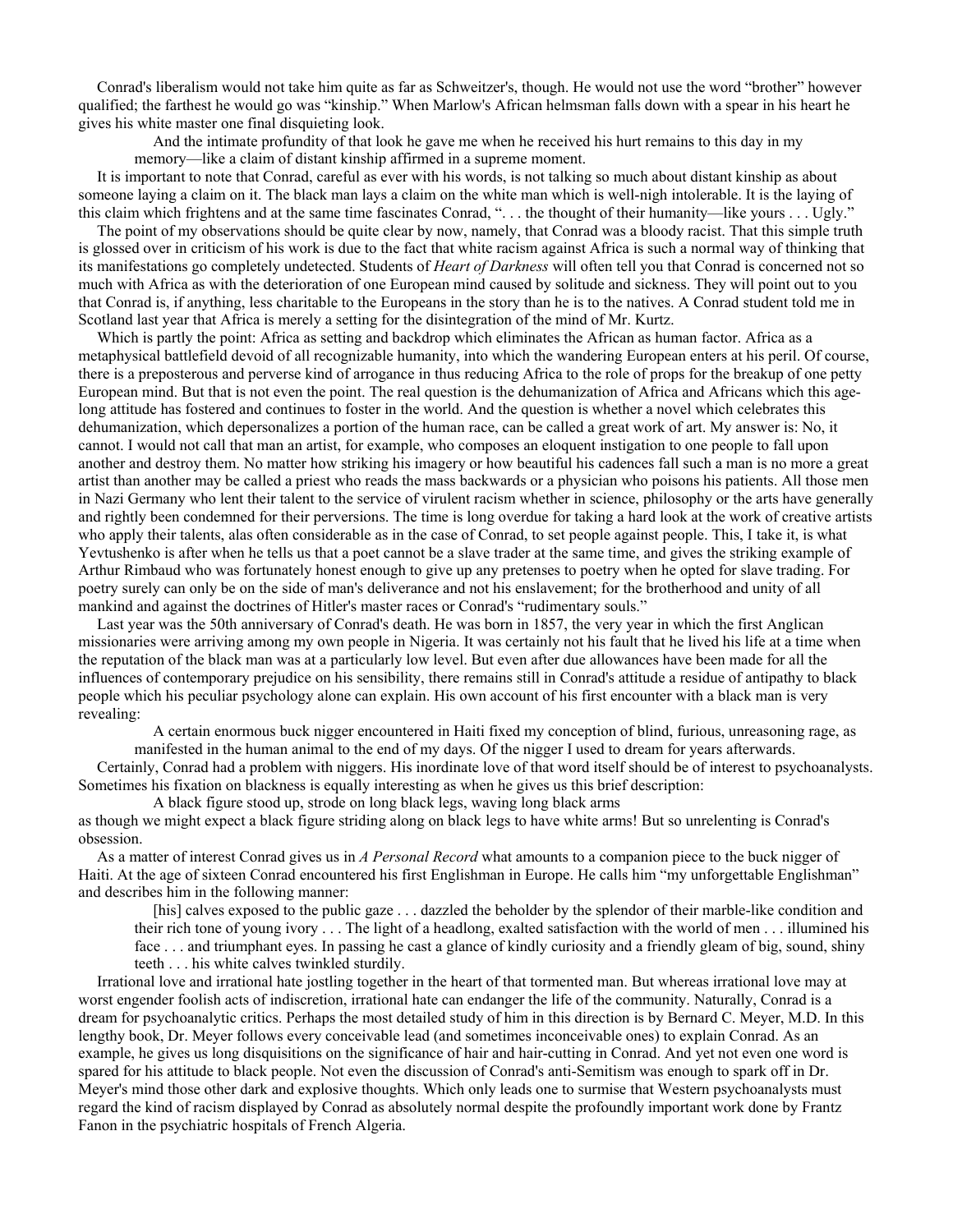Conrad's liberalism would not take him quite as far as Schweitzer's, though. He would not use the word "brother" however qualified; the farthest he would go was "kinship." When Marlow's African helmsman falls down with a spear in his heart he gives his white master one final disquieting look.

And the intimate profundity of that look he gave me when he received his hurt remains to this day in my

memory—like a claim of distant kinship affirmed in a supreme moment.

It is important to note that Conrad, careful as ever with his words, is not talking so much about distant kinship as about someone laying a claim on it. The black man lays a claim on the white man which is well-nigh intolerable. It is the laying of this claim which frightens and at the same time fascinates Conrad, ". . . the thought of their humanity—like yours . . . Ugly."

The point of my observations should be quite clear by now, namely, that Conrad was a bloody racist. That this simple truth is glossed over in criticism of his work is due to the fact that white racism against Africa is such a normal way of thinking that its manifestations go completely undetected. Students of *Heart of Darkness* will often tell you that Conrad is concerned not so much with Africa as with the deterioration of one European mind caused by solitude and sickness. They will point out to you that Conrad is, if anything, less charitable to the Europeans in the story than he is to the natives. A Conrad student told me in Scotland last year that Africa is merely a setting for the disintegration of the mind of Mr. Kurtz.

Which is partly the point: Africa as setting and backdrop which eliminates the African as human factor. Africa as a metaphysical battlefield devoid of all recognizable humanity, into which the wandering European enters at his peril. Of course, there is a preposterous and perverse kind of arrogance in thus reducing Africa to the role of props for the breakup of one petty European mind. But that is not even the point. The real question is the dehumanization of Africa and Africans which this agelong attitude has fostered and continues to foster in the world. And the question is whether a novel which celebrates this dehumanization, which depersonalizes a portion of the human race, can be called a great work of art. My answer is: No, it cannot. I would not call that man an artist, for example, who composes an eloquent instigation to one people to fall upon another and destroy them. No matter how striking his imagery or how beautiful his cadences fall such a man is no more a great artist than another may be called a priest who reads the mass backwards or a physician who poisons his patients. All those men in Nazi Germany who lent their talent to the service of virulent racism whether in science, philosophy or the arts have generally and rightly been condemned for their perversions. The time is long overdue for taking a hard look at the work of creative artists who apply their talents, alas often considerable as in the case of Conrad, to set people against people. This, I take it, is what Yevtushenko is after when he tells us that a poet cannot be a slave trader at the same time, and gives the striking example of Arthur Rimbaud who was fortunately honest enough to give up any pretenses to poetry when he opted for slave trading. For poetry surely can only be on the side of man's deliverance and not his enslavement; for the brotherhood and unity of all mankind and against the doctrines of Hitler's master races or Conrad's "rudimentary souls."

Last year was the 50th anniversary of Conrad's death. He was born in 1857, the very year in which the first Anglican missionaries were arriving among my own people in Nigeria. It was certainly not his fault that he lived his life at a time when the reputation of the black man was at a particularly low level. But even after due allowances have been made for all the influences of contemporary prejudice on his sensibility, there remains still in Conrad's attitude a residue of antipathy to black people which his peculiar psychology alone can explain. His own account of his first encounter with a black man is very revealing:

A certain enormous buck nigger encountered in Haiti fixed my conception of blind, furious, unreasoning rage, as

manifested in the human animal to the end of my days. Of the nigger I used to dream for years afterwards. Certainly, Conrad had a problem with niggers. His inordinate love of that word itself should be of interest to psychoanalysts. Sometimes his fixation on blackness is equally interesting as when he gives us this brief description:

A black figure stood up, strode on long black legs, waving long black arms as though we might expect a black figure striding along on black legs to have white arms! But so unrelenting is Conrad's obsession.

As a matter of interest Conrad gives us in *A Personal Record* what amounts to a companion piece to the buck nigger of Haiti. At the age of sixteen Conrad encountered his first Englishman in Europe. He calls him "my unforgettable Englishman" and describes him in the following manner:

[his] calves exposed to the public gaze . . . dazzled the beholder by the splendor of their marble-like condition and their rich tone of young ivory . . . The light of a headlong, exalted satisfaction with the world of men . . . illumined his face . . . and triumphant eyes. In passing he cast a glance of kindly curiosity and a friendly gleam of big, sound, shiny teeth . . . his white calves twinkled sturdily.

Irrational love and irrational hate jostling together in the heart of that tormented man. But whereas irrational love may at worst engender foolish acts of indiscretion, irrational hate can endanger the life of the community. Naturally, Conrad is a dream for psychoanalytic critics. Perhaps the most detailed study of him in this direction is by Bernard C. Meyer, M.D. In this lengthy book, Dr. Meyer follows every conceivable lead (and sometimes inconceivable ones) to explain Conrad. As an example, he gives us long disquisitions on the significance of hair and hair-cutting in Conrad. And yet not even one word is spared for his attitude to black people. Not even the discussion of Conrad's anti-Semitism was enough to spark off in Dr. Meyer's mind those other dark and explosive thoughts. Which only leads one to surmise that Western psychoanalysts must regard the kind of racism displayed by Conrad as absolutely normal despite the profoundly important work done by Frantz Fanon in the psychiatric hospitals of French Algeria.